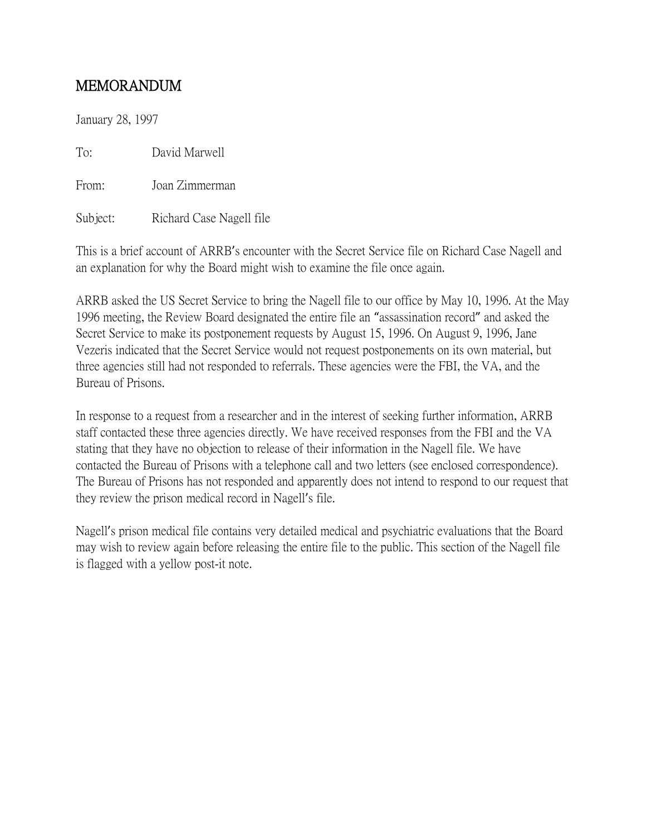## MEMORANDUM

January 28, 1997

To: David Marwell

From: Joan Zimmerman

Subject: Richard Case Nagell file

This is a brief account of ARRB's encounter with the Secret Service file on Richard Case Nagell and an explanation for why the Board might wish to examine the file once again.

ARRB asked the US Secret Service to bring the Nagell file to our office by May 10, 1996. At the May 1996 meeting, the Review Board designated the entire file an "assassination record" and asked the Secret Service to make its postponement requests by August 15, 1996. On August 9, 1996, Jane Vezeris indicated that the Secret Service would not request postponements on its own material, but three agencies still had not responded to referrals. These agencies were the FBI, the VA, and the Bureau of Prisons.

In response to a request from a researcher and in the interest of seeking further information, ARRB staff contacted these three agencies directly. We have received responses from the FBI and the VA stating that they have no objection to release of their information in the Nagell file. We have contacted the Bureau of Prisons with a telephone call and two letters (see enclosed correspondence). The Bureau of Prisons has not responded and apparently does not intend to respond to our request that they review the prison medical record in Nagell's file.

Nagell's prison medical file contains very detailed medical and psychiatric evaluations that the Board may wish to review again before releasing the entire file to the public. This section of the Nagell file is flagged with a yellow post-it note.